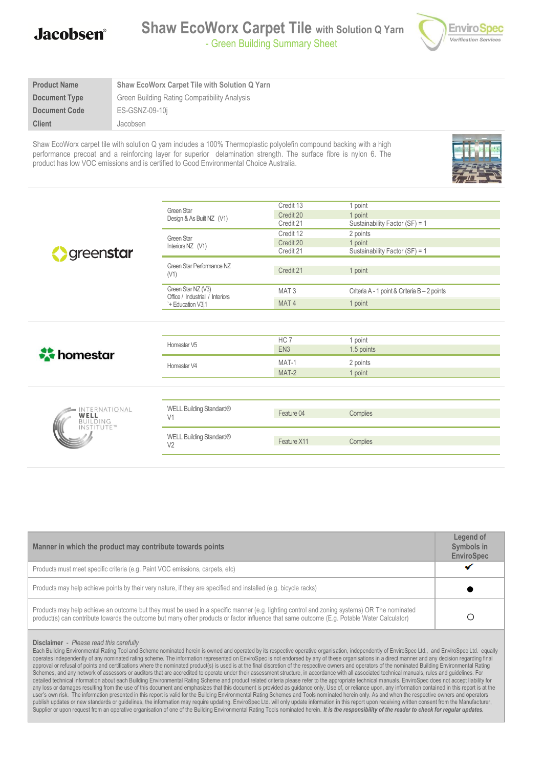

| Shaw EcoWorx Carpet Tile with Solution Q Yarn |
|-----------------------------------------------|
| Green Building Rating Compatibility Analysis  |
| ES-GSNZ-09-10i                                |
| Jacobsen                                      |
|                                               |

Shaw EcoWorx carpet tile with solution Q yarn includes a 100% Thermoplastic polyolefin compound backing with a high performance precoat and a reinforcing layer for superior delamination strength. The surface fibre is nylon 6. The product has low VOC emissions and is certified to Good Environmental Choice Australia.



|                                      |                                                       | Credit 13        | 1 point                                      |  |
|--------------------------------------|-------------------------------------------------------|------------------|----------------------------------------------|--|
|                                      | Green Star<br>Design & As Built NZ (V1)               | Credit 20        | 1 point                                      |  |
|                                      |                                                       | Credit 21        | Sustainability Factor (SF) = 1               |  |
|                                      | Green Star<br>Interiors NZ (V1)                       | Credit 12        | 2 points                                     |  |
|                                      |                                                       | Credit 20        | 1 point                                      |  |
| greenstar                            |                                                       | Credit 21        | Sustainability Factor (SF) = 1               |  |
|                                      |                                                       |                  |                                              |  |
|                                      | Green Star Performance NZ<br>(V1)                     | Credit 21        | 1 point                                      |  |
|                                      |                                                       |                  |                                              |  |
|                                      | Green Star NZ (V3)<br>Office / Industrial / Interiors | MAT <sub>3</sub> | Criteria A - 1 point & Criteria B - 2 points |  |
|                                      | `+ Education V3.1                                     | MAT <sub>4</sub> | 1 point                                      |  |
|                                      |                                                       |                  |                                              |  |
|                                      |                                                       |                  |                                              |  |
|                                      |                                                       |                  |                                              |  |
|                                      | Homestar V5                                           | HC <sub>7</sub>  | 1 point                                      |  |
| homestar                             |                                                       | EN <sub>3</sub>  | 1.5 points                                   |  |
|                                      | Homestar V4                                           | MAT-1            | 2 points                                     |  |
|                                      |                                                       | MAT-2            | 1 point                                      |  |
|                                      |                                                       |                  |                                              |  |
|                                      |                                                       |                  |                                              |  |
|                                      |                                                       |                  |                                              |  |
| INTERNATIONAL<br>WELL                | WELL Building Standard®<br>V <sub>1</sub>             | Feature 04       | Complies                                     |  |
| <b>BUILDING</b><br><b>INSTITUTE™</b> |                                                       |                  |                                              |  |
|                                      | WELL Building Standard®                               |                  |                                              |  |
|                                      | V <sub>2</sub>                                        | Feature X11      | Complies                                     |  |
|                                      |                                                       |                  |                                              |  |
|                                      |                                                       |                  |                                              |  |

| Manner in which the product may contribute towards points                                                                                                                                                                                                                                  | Legend of<br>Symbols in<br><b>EnviroSpec</b> |
|--------------------------------------------------------------------------------------------------------------------------------------------------------------------------------------------------------------------------------------------------------------------------------------------|----------------------------------------------|
| Products must meet specific criteria (e.g. Paint VOC emissions, carpets, etc)                                                                                                                                                                                                              |                                              |
| Products may help achieve points by their very nature, if they are specified and installed (e.g. bicycle racks)                                                                                                                                                                            |                                              |
| Products may help achieve an outcome but they must be used in a specific manner (e.g. lighting control and zoning systems) OR The nominated<br>product(s) can contribute towards the outcome but many other products or factor influence that same outcome (E.g. Potable Water Calculator) |                                              |

#### **Disclaimer** - *Please read this carefully*

Each Building Environmental Rating Tool and Scheme nominated herein is owned and operated by its respective operative organisation, independently of EnviroSpec Ltd., and EnviroSpec Ltd., equally operates independently of any nominated rating scheme. The information represented on EnviroSpec is not endorsed by any of these organisations in a direct manner and any decision regarding final approval or refusal of points and certifications where the nominated product(s) is used is at the final discretion of the respective owners and operators of the nominated Building Environmental Rating Schemes, and any network of assessors or auditors that are accredited to operate under their assessment structure, in accordance with all associated technical manuals, rules and guidelines. For detailed technical information about each Building Environmental Rating Scheme and product related criteria please refer to the appropriate technical manuals. EnviroSpec does not accept liability for any loss or damages resulting from the use of this document and emphasizes that this document is provided as guidance only, Use of, or reliance upon, any information contained in this report is at the user's own risk. The information presented in this report is valid for the Building Environmental Rating Schemes and Tools nominated herein only. As and when the respective owners and operators publish updates or new standards or guidelines, the information may require updating. EnviroSpec Ltd. will only update information in this report upon receiving written consent from the Manufacturer, Supplier or upon request from an operative organisation of one of the Building Environmental Rating Tools nominated herein. It is the responsibility of the reader to check for regular updates.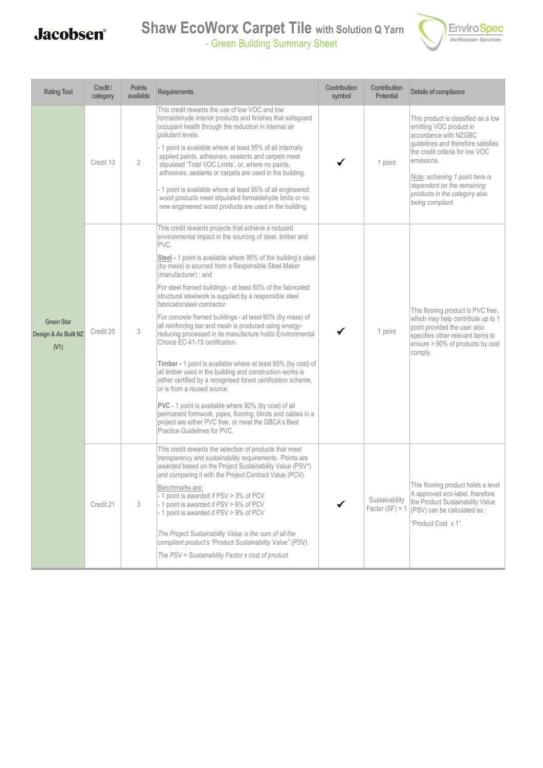### **Shaw EcoWorx Carpet Tile with Solution Q Yarn** - Green Building Summary Sheet



| <b>Rating Tool</b>                                | Credit /<br>category | <b>Points</b><br>available | <b>Requirements</b>                                                                                                                                                                                                                                                                                                                                                                                                                                                                                                                                                                                                                                                                                                                                                                                                                                                                                                                                                                                                                                                                                    | Contribution<br>symbol | Contribution<br><b>Potential</b>    | Details of compliance                                                                                                                                                                                                                                                                                |
|---------------------------------------------------|----------------------|----------------------------|--------------------------------------------------------------------------------------------------------------------------------------------------------------------------------------------------------------------------------------------------------------------------------------------------------------------------------------------------------------------------------------------------------------------------------------------------------------------------------------------------------------------------------------------------------------------------------------------------------------------------------------------------------------------------------------------------------------------------------------------------------------------------------------------------------------------------------------------------------------------------------------------------------------------------------------------------------------------------------------------------------------------------------------------------------------------------------------------------------|------------------------|-------------------------------------|------------------------------------------------------------------------------------------------------------------------------------------------------------------------------------------------------------------------------------------------------------------------------------------------------|
| <b>Green Star</b><br>Design & As Built NZ<br>(V1) | Credit 13            | $\overline{2}$             | This credit rewards the use of low VOC and low<br>formaldehyde interior products and finishes that safeguard<br>occupant health through the reduction in internal air<br>pollutant levels.<br>- 1 point is available where at least 95% of all internally<br>applied paints, adhesives, sealants and carpets meet<br>stipulated 'Total VOC Limits', or, where no paints,<br>adhesives, sealants or carpets are used in the building.<br>- 1 point is available where at least 95% of all engineered<br>wood products meet stipulated formaldehyde limits or no<br>new engineered wood products are used in the building.                                                                                                                                                                                                                                                                                                                                                                                                                                                                               |                        | 1 point                             | This product is classified as a low<br>emitting VOC product in<br>accordance with NZGBC<br>quidelines and therefore satisfies<br>the credit criteria for low VOC<br>emissions.<br>Note: achieving 1 point here is<br>dependent on the remaining<br>products in the category also<br>being compliant. |
|                                                   | Credit 20            | 3                          | This credit rewards projects that achieve a reduced<br>environmental impact in the sourcing of steel, timber and<br>PVC.<br>Steel - 1 point is available where 95% of the building's steel<br>(by mass) is sourced from a Responsible Steel Maker<br>(manufacturer); and<br>For steel framed buildings - at least 60% of the fabricated<br>structural steelwork is supplied by a responsible steel<br>fabricator/steel contractor.<br>For concrete framed buildings - at least 60% (by mass) of<br>all reinforcing bar and mesh is produced using energy-<br>reducing processed in its manufacture holds Environmental<br>Choice EC-41-15 certification.<br>Timber - 1 point is available where at least 95% (by cost) of<br>all timber used in the building and construction works is<br>either certified by a recognised forest certification scheme,<br>or is from a reused source.<br>PVC - 1 point is available where 90% (by cost) of all<br>permanent formwork, pipes, flooring, blinds and cables in a<br>project are either PVC free, or meet the GBCA's Best<br>Practice Guidelines for PVC. |                        | 1 point                             | This flooring product is PVC free,<br>which may help contribute up to 1<br>point provided the user also<br>specifies other relevant items to<br>ensure > 90% of products by cost<br>comply.                                                                                                          |
|                                                   | Credit 21            | 3                          | This credit rewards the selection of products that meet<br>transparency and sustainability requirements. Points are<br>awarded based on the Project Sustainability Value (PSV*)<br>and comparing it with the Project Contract Value (PCV).<br>Benchmarks are:<br>- 1 point is awarded if PSV > 3% of PCV<br>- 1 point is awarded if PSV > 6% of PCV<br>- 1 point is awarded if PSV > 9% of PCV<br>The Project Sustainability Value is the sum of all the<br>compliant product's "Product Sustainability Value" (PSV).<br>The PSV = Sustainability Factor x cost of product                                                                                                                                                                                                                                                                                                                                                                                                                                                                                                                             |                        | Sustainability<br>Factor $(SF) = 1$ | This flooring product holds a level<br>A approved eco-label, therefore<br>the Product Sustainability Value<br>(PSV) can be calculated as :<br>'Product Cost x 1".                                                                                                                                    |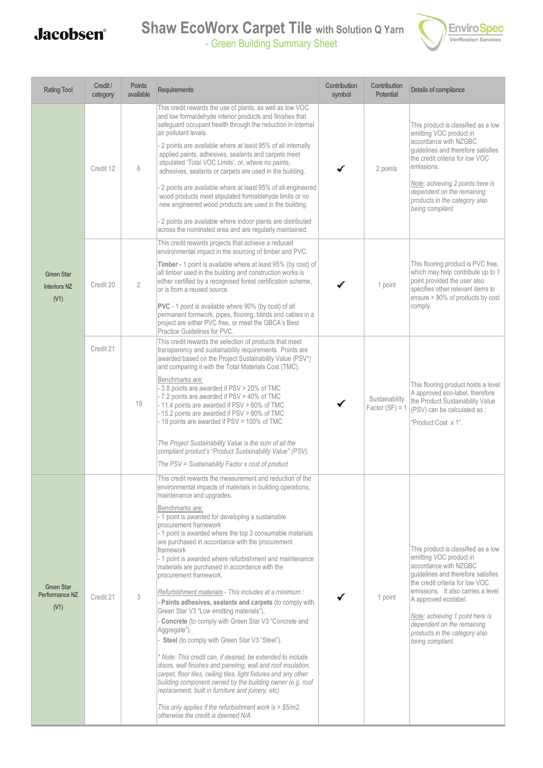### **Shaw EcoWorx Carpet Tile with Solution Q Yarn** - Green Building Summary Sheet



| <b>Rating Tool</b>                               | Credit /<br>category | <b>Points</b><br>available | <b>Requirements</b>                                                                                                                                                                                                                                                                                                                                                                                                                                                                                                                                                                                                                                                                                                                                                                                                                                                                                                                                                                                                                                                                                                                                                                                                                            | Contribution<br>symbol | Contribution<br><b>Potential</b>    | Details of compliance                                                                                                                                                                                                                                                                                                                                |
|--------------------------------------------------|----------------------|----------------------------|------------------------------------------------------------------------------------------------------------------------------------------------------------------------------------------------------------------------------------------------------------------------------------------------------------------------------------------------------------------------------------------------------------------------------------------------------------------------------------------------------------------------------------------------------------------------------------------------------------------------------------------------------------------------------------------------------------------------------------------------------------------------------------------------------------------------------------------------------------------------------------------------------------------------------------------------------------------------------------------------------------------------------------------------------------------------------------------------------------------------------------------------------------------------------------------------------------------------------------------------|------------------------|-------------------------------------|------------------------------------------------------------------------------------------------------------------------------------------------------------------------------------------------------------------------------------------------------------------------------------------------------------------------------------------------------|
| <b>Green Star</b><br><b>Interiors NZ</b><br>(V1) | Credit 12            | 6                          | This credit rewards the use of plants, as well as low VOC<br>and low formaldehyde interior products and finishes that<br>safeguard occupant health through the reduction in internal<br>air pollutant levels.<br>2 points are available where at least 95% of all internally<br>applied paints, adhesives, sealants and carpets meet<br>stipulated 'Total VOC Limits', or, where no paints,<br>adhesives, sealants or carpets are used in the building.<br>2 points are available where at least 95% of all engineered<br>wood products meet stipulated formaldehyde limits or no<br>new engineered wood products are used in the building.<br>- 2 points are available where indoor plants are distributed<br>across the nominated area and are regularly maintained.                                                                                                                                                                                                                                                                                                                                                                                                                                                                         |                        | 2 points                            | This product is classified as a low<br>emitting VOC product in<br>accordance with NZGBC<br>quidelines and therefore satisfies<br>the credit criteria for low VOC<br>emissions.<br>Note: achieving 2 points here is<br>dependent on the remaining<br>products in the category also<br>being compliant.                                                |
|                                                  | Credit 20            | $\overline{2}$             | This credit rewards projects that achieve a reduced<br>environmental impact in the sourcing of timber and PVC.<br>Timber - 1 point is available where at least 95% (by cost) of<br>all timber used in the building and construction works is<br>either certified by a recognised forest certification scheme,<br>or is from a reused source.<br><b>PVC</b> - 1 point is available where 90% (by cost) of all<br>permanent formwork, pipes, flooring, blinds and cables in a<br>project are either PVC free, or meet the GBCA's Best<br>Practice Guidelines for PVC.                                                                                                                                                                                                                                                                                                                                                                                                                                                                                                                                                                                                                                                                            |                        | 1 point                             | This flooring product is PVC free.<br>which may help contribute up to 1<br>point provided the user also<br>specifies other relevant items to<br>ensure > 90% of products by cost<br>comply.                                                                                                                                                          |
|                                                  | Credit 21            | 19                         | This credit rewards the selection of products that meet<br>transparency and sustainability requirements. Points are<br>awarded based on the Project Sustainability Value (PSV*)<br>and comparing it with the Total Materials Cost (TMC).<br>Benchmarks are:<br>- 3.8 points are awarded if PSV > 20% of TMC<br>- 7.2 points are awarded if PSV > 40% of TMC<br>- 11.4 points are awarded if PSV > 60% of TMC<br>- 15.2 points are awarded if PSV > 80% of TMC<br>- 19 points are awarded if PSV = 100% of TMC<br>The Project Sustainability Value is the sum of all the<br>compliant product's "Product Sustainability Value" (PSV).<br>The PSV = Sustainability Factor x cost of product                                                                                                                                                                                                                                                                                                                                                                                                                                                                                                                                                      |                        | Sustainability<br>Factor $(SF) = 1$ | This flooring product holds a level<br>A approved eco-label, therefore<br>the Product Sustainability Value<br>(PSV) can be calculated as :<br>'Product Cost x 1".                                                                                                                                                                                    |
| <b>Green Star</b><br>Performance NZ<br>(V1)      | Credit 21            | 3                          | This credit rewards the measurement and reduction of the<br>environmental impacts of materials in building operations,<br>maintenance and upgrades.<br>Benchmarks are:<br>- 1 point is awarded for developing a sustainable<br>procurement framework<br>- 1 point is awarded where the top 3 consumable materials<br>are purchased in accordance with the procurement<br>framework<br>- 1 point is awarded where refurbishment and maintenance<br>materials are purchased in accordance with the<br>procurement framework.<br>Refurbishment materials - This includes at a minimum :<br>- Paints adhesives, sealants and carpets (to comply with<br>Green Star V3 "Low emitting materials"),<br>Concrete (to comply with Green Star V3 "Concrete and<br>Aggregate"),<br>Steel (to comply with Green Star V3 "Steel").<br>* Note: This credit can, if desired, be extended to include<br>doors, wall finishes and paneling, wall and roof insulation,<br>carpet, floor tiles, ceiling tiles, light fixtures and any other<br>building component owned by the building owner (e.g. roof<br>replacement, built in furniture and joinery, etc)<br>This only applies if the refurbishment work is $>$ \$5/m2,<br>otherwise the credit is deemed N/A |                        | 1 point                             | This product is classified as a low<br>emitting VOC product in<br>accordance with NZGBC<br>quidelines and therefore satisfies<br>the credit criteria for low VOC<br>emissions. It also carries a level<br>A approved ecolabel.<br>Note: achieving 1 point here is<br>dependent on the remaining<br>products in the category also<br>being compliant. |